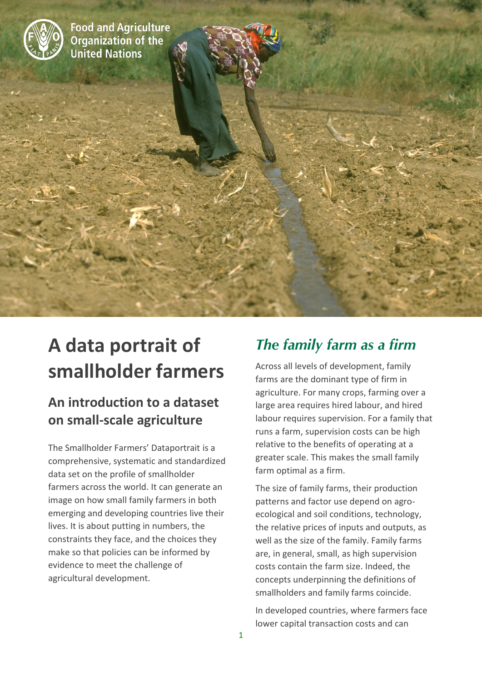

**Food and Agriculture Organization of the United Nations** 

# **A data portrait of smallholder farmers**

## **An introduction to a dataset on small-scale agriculture**

The Smallholder Farmers' Dataportrait is a comprehensive, systematic and standardized data set on the profile of smallholder farmers across the world. It can generate an image on how small family farmers in both emerging and developing countries live their lives. It is about putting in numbers, the constraints they face, and the choices they make so that policies can be informed by evidence to meet the challenge of agricultural development.

# *The family farm as a firm*

Across all levels of development, family farms are the dominant type of firm in agriculture. For many crops, farming over a large area requires hired labour, and hired labour requires supervision. For a family that runs a farm, supervision costs can be high relative to the benefits of operating at a greater scale. This makes the small family farm optimal as a firm.

The size of family farms, their production patterns and factor use depend on agroecological and soil conditions, technology, the relative prices of inputs and outputs, as well as the size of the family. Family farms are, in general, small, as high supervision costs contain the farm size. Indeed, the concepts underpinning the definitions of smallholders and family farms coincide.

In developed countries, where farmers face lower capital transaction costs and can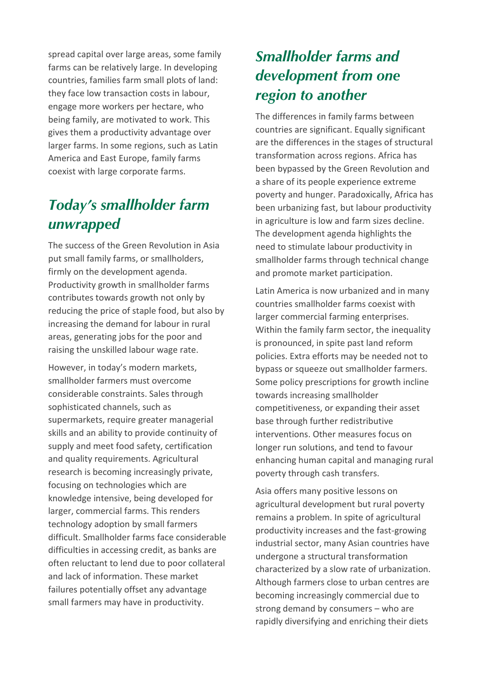spread capital over large areas, some family farms can be relatively large. In developing countries, families farm small plots of land: they face low transaction costs in labour, engage more workers per hectare, who being family, are motivated to work. This gives them a productivity advantage over larger farms. In some regions, such as Latin America and East Europe, family farms coexist with large corporate farms.

# *Today's smallholder farm unwrapped*

The success of the Green Revolution in Asia put small family farms, or smallholders, firmly on the development agenda. Productivity growth in smallholder farms contributes towards growth not only by reducing the price of staple food, but also by increasing the demand for labour in rural areas, generating jobs for the poor and raising the unskilled labour wage rate.

However, in today's modern markets, smallholder farmers must overcome considerable constraints. Sales through sophisticated channels, such as supermarkets, require greater managerial skills and an ability to provide continuity of supply and meet food safety, certification and quality requirements. Agricultural research is becoming increasingly private, focusing on technologies which are knowledge intensive, being developed for larger, commercial farms. This renders technology adoption by small farmers difficult. Smallholder farms face considerable difficulties in accessing credit, as banks are often reluctant to lend due to poor collateral and lack of information. These market failures potentially offset any advantage small farmers may have in productivity.

## *Smallholder farms and development from one region to another*

The differences in family farms between countries are significant. Equally significant are the differences in the stages of structural transformation across regions. Africa has been bypassed by the Green Revolution and a share of its people experience extreme poverty and hunger. Paradoxically, Africa has been urbanizing fast, but labour productivity in agriculture is low and farm sizes decline. The development agenda highlights the need to stimulate labour productivity in smallholder farms through technical change and promote market participation.

Latin America is now urbanized and in many countries smallholder farms coexist with larger commercial farming enterprises. Within the family farm sector, the inequality is pronounced, in spite past land reform policies. Extra efforts may be needed not to bypass or squeeze out smallholder farmers. Some policy prescriptions for growth incline towards increasing smallholder competitiveness, or expanding their asset base through further redistributive interventions. Other measures focus on longer run solutions, and tend to favour enhancing human capital and managing rural poverty through cash transfers.

Asia offers many positive lessons on agricultural development but rural poverty remains a problem. In spite of agricultural productivity increases and the fast-growing industrial sector, many Asian countries have undergone a structural transformation characterized by a slow rate of urbanization. Although farmers close to urban centres are becoming increasingly commercial due to strong demand by consumers – who are rapidly diversifying and enriching their diets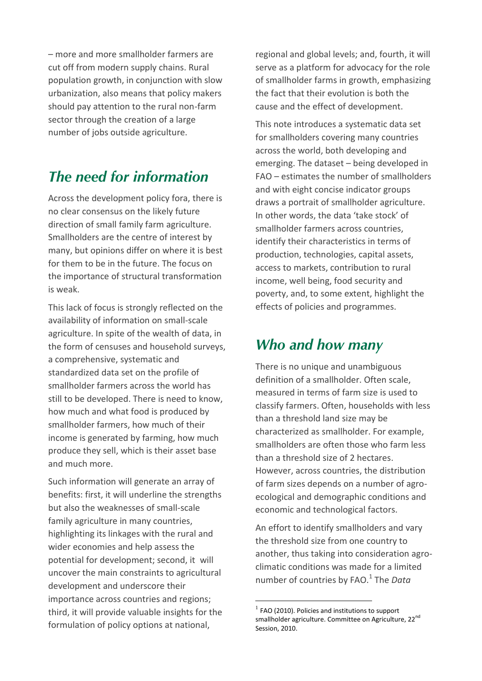– more and more smallholder farmers are cut off from modern supply chains. Rural population growth, in conjunction with slow urbanization, also means that policy makers should pay attention to the rural non-farm sector through the creation of a large number of jobs outside agriculture.

#### *The need for information*

Across the development policy fora, there is no clear consensus on the likely future direction of small family farm agriculture. Smallholders are the centre of interest by many, but opinions differ on where it is best for them to be in the future. The focus on the importance of structural transformation is weak.

This lack of focus is strongly reflected on the availability of information on small-scale agriculture. In spite of the wealth of data, in the form of censuses and household surveys, a comprehensive, systematic and standardized data set on the profile of smallholder farmers across the world has still to be developed. There is need to know, how much and what food is produced by smallholder farmers, how much of their income is generated by farming, how much produce they sell, which is their asset base and much more.

Such information will generate an array of benefits: first, it will underline the strengths but also the weaknesses of small-scale family agriculture in many countries, highlighting its linkages with the rural and wider economies and help assess the potential for development; second, it will uncover the main constraints to agricultural development and underscore their importance across countries and regions; third, it will provide valuable insights for the formulation of policy options at national,

regional and global levels; and, fourth, it will serve as a platform for advocacy for the role of smallholder farms in growth, emphasizing the fact that their evolution is both the cause and the effect of development.

This note introduces a systematic data set for smallholders covering many countries across the world, both developing and emerging. The dataset – being developed in FAO – estimates the number of smallholders and with eight concise indicator groups draws a portrait of smallholder agriculture. In other words, the data 'take stock' of smallholder farmers across countries, identify their characteristics in terms of production, technologies, capital assets, access to markets, contribution to rural income, well being, food security and poverty, and, to some extent, highlight the effects of policies and programmes.

#### *Who and how many*

There is no unique and unambiguous definition of a smallholder. Often scale, measured in terms of farm size is used to classify farmers. Often, households with less than a threshold land size may be characterized as smallholder. For example, smallholders are often those who farm less than a threshold size of 2 hectares. However, across countries, the distribution of farm sizes depends on a number of agroecological and demographic conditions and economic and technological factors.

An effort to identify smallholders and vary the threshold size from one country to another, thus taking into consideration agroclimatic conditions was made for a limited number of countries by FAO.<sup>1</sup> The *Data* 

**.** 

 $<sup>1</sup>$  FAO (2010). Policies and institutions to support</sup> smallholder agriculture. Committee on Agriculture, 22<sup>nd</sup> Session, 2010.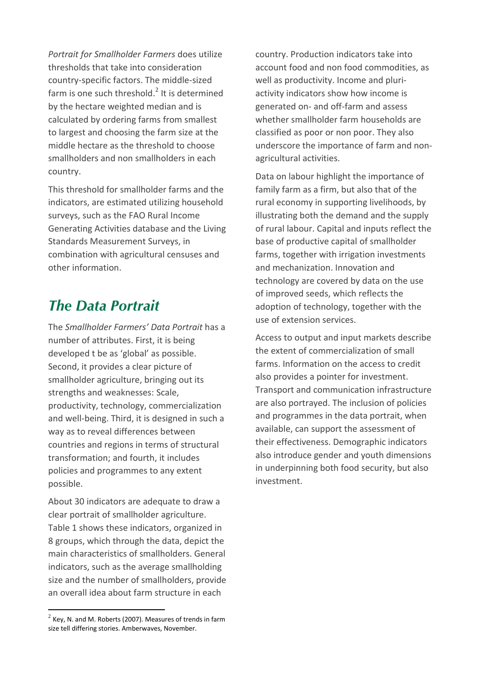*Portrait for Smallholder Farmers* does utilize thresholds that take into consideration country-specific factors. The middle-sized farm is one such threshold.<sup>2</sup> It is determined by the hectare weighted median and is calculated by ordering farms from smallest to largest and choosing the farm size at the middle hectare as the threshold to choose smallholders and non smallholders in each country.

This threshold for smallholder farms and the indicators, are estimated utilizing household surveys, such as the FAO Rural Income Generating Activities database and the Living Standards Measurement Surveys, in combination with agricultural censuses and other information.

## *The Data Portrait*

The *Smallholder Farmers' Data Portrait* has a number of attributes. First, it is being developed t be as 'global' as possible. Second, it provides a clear picture of smallholder agriculture, bringing out its strengths and weaknesses: Scale, productivity, technology, commercialization and well-being. Third, it is designed in such a way as to reveal differences between countries and regions in terms of structural transformation; and fourth, it includes policies and programmes to any extent possible.

About 30 indicators are adequate to draw a clear portrait of smallholder agriculture. Table 1 shows these indicators, organized in 8 groups, which through the data, depict the main characteristics of smallholders. General indicators, such as the average smallholding size and the number of smallholders, provide an overall idea about farm structure in each

 $\overline{a}$ 

country. Production indicators take into account food and non food commodities, as well as productivity. Income and pluriactivity indicators show how income is generated on- and off-farm and assess whether smallholder farm households are classified as poor or non poor. They also underscore the importance of farm and nonagricultural activities.

Data on labour highlight the importance of family farm as a firm, but also that of the rural economy in supporting livelihoods, by illustrating both the demand and the supply of rural labour. Capital and inputs reflect the base of productive capital of smallholder farms, together with irrigation investments and mechanization. Innovation and technology are covered by data on the use of improved seeds, which reflects the adoption of technology, together with the use of extension services.

Access to output and input markets describe the extent of commercialization of small farms. Information on the access to credit also provides a pointer for investment. Transport and communication infrastructure are also portrayed. The inclusion of policies and programmes in the data portrait, when available, can support the assessment of their effectiveness. Demographic indicators also introduce gender and youth dimensions in underpinning both food security, but also investment.

 $^2$  Key, N. and M. Roberts (2007). Measures of trends in farm size tell differing stories. Amberwaves, November.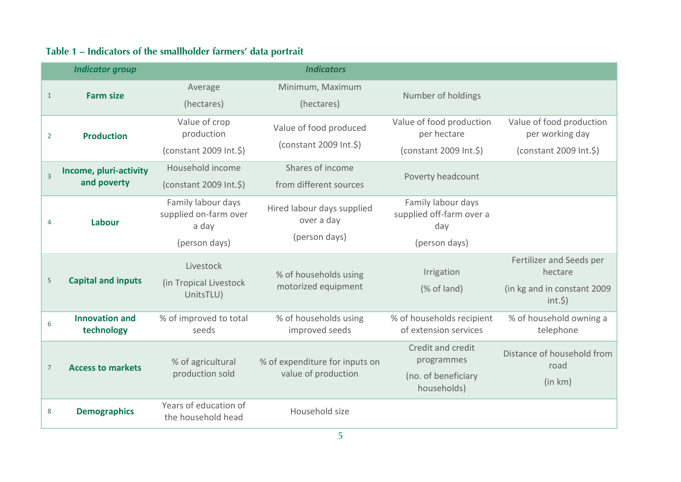## **Table 1 – Indicators of the smallholder farmers' data portrait**

|                | <b>Indicator group</b>                |                                                                       | <b>Indicators</b>                                         |                                                                        |                                                                                  |
|----------------|---------------------------------------|-----------------------------------------------------------------------|-----------------------------------------------------------|------------------------------------------------------------------------|----------------------------------------------------------------------------------|
| $\mathbf{1}$   | <b>Farm size</b>                      | Average<br>(hectares)                                                 | Minimum, Maximum<br>(hectares)                            | Number of holdings                                                     |                                                                                  |
| $\overline{2}$ | <b>Production</b>                     | Value of crop<br>production<br>(constant 2009 Int.\$)                 | Value of food produced<br>(constant 2009 Int.\$)          | Value of food production<br>per hectare<br>(constant 2009 Int.\$)      | Value of food production<br>per working day<br>(constant 2009 Int.\$)            |
| $\overline{3}$ | Income, pluri-activity<br>and poverty | Household income<br>$(constant 2009 Int.\$ 5)                         | Shares of income<br>from different sources                | Poverty headcount                                                      |                                                                                  |
| 4              | Labour                                | Family labour days<br>supplied on-farm over<br>a day<br>(person days) | Hired labour days supplied<br>over a day<br>(person days) | Family labour days<br>supplied off-farm over a<br>day<br>(person days) |                                                                                  |
| 5              | <b>Capital and inputs</b>             | Livestock<br>(in Tropical Livestock<br>UnitsTLU)                      | % of households using<br>motorized equipment              | Irrigation<br>(% of land)                                              | Fertilizer and Seeds per<br>hectare<br>(in kg and in constant 2009<br>$int.$ \$) |
| 6              | <b>Innovation and</b><br>technology   | % of improved to total<br>seeds                                       | % of households using<br>improved seeds                   | % of households recipient<br>of extension services                     | % of household owning a<br>telephone                                             |
| $\overline{7}$ | <b>Access to markets</b>              | % of agricultural<br>production sold                                  | % of expenditure for inputs on<br>value of production     | Credit and credit<br>programmes<br>(no. of beneficiary<br>households)  | Distance of household from<br>road<br>(in km)                                    |
| 8              | <b>Demographics</b>                   | Years of education of<br>the household head                           | Household size                                            |                                                                        |                                                                                  |